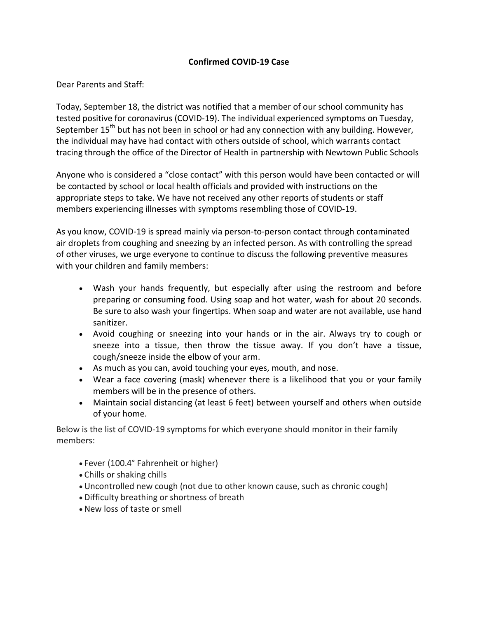## **Confirmed COVID-19 Case**

Dear Parents and Staff:

Today, September 18, the district was notified that a member of our school community has tested positive for coronavirus (COVID-19). The individual experienced symptoms on Tuesday, September  $15<sup>th</sup>$  but has not been in school or had any connection with any building. However, the individual may have had contact with others outside of school, which warrants contact tracing through the office of the Director of Health in partnership with Newtown Public Schools

Anyone who is considered a "close contact" with this person would have been contacted or will be contacted by school or local health officials and provided with instructions on the appropriate steps to take. We have not received any other reports of students or staff members experiencing illnesses with symptoms resembling those of COVID-19.

As you know, COVID-19 is spread mainly via person-to-person contact through contaminated air droplets from coughing and sneezing by an infected person. As with controlling the spread of other viruses, we urge everyone to continue to discuss the following preventive measures with your children and family members:

- Wash your hands frequently, but especially after using the restroom and before preparing or consuming food. Using soap and hot water, wash for about 20 seconds. Be sure to also wash your fingertips. When soap and water are not available, use hand sanitizer.
- Avoid coughing or sneezing into your hands or in the air. Always try to cough or sneeze into a tissue, then throw the tissue away. If you don't have a tissue, cough/sneeze inside the elbow of your arm.
- As much as you can, avoid touching your eyes, mouth, and nose.
- Wear a face covering (mask) whenever there is a likelihood that you or your family members will be in the presence of others.
- Maintain social distancing (at least 6 feet) between yourself and others when outside of your home.

Below is the list of COVID-19 symptoms for which everyone should monitor in their family members:

- Fever (100.4° Fahrenheit or higher)
- Chills or shaking chills
- Uncontrolled new cough (not due to other known cause, such as chronic cough)
- Difficulty breathing or shortness of breath
- New loss of taste or smell